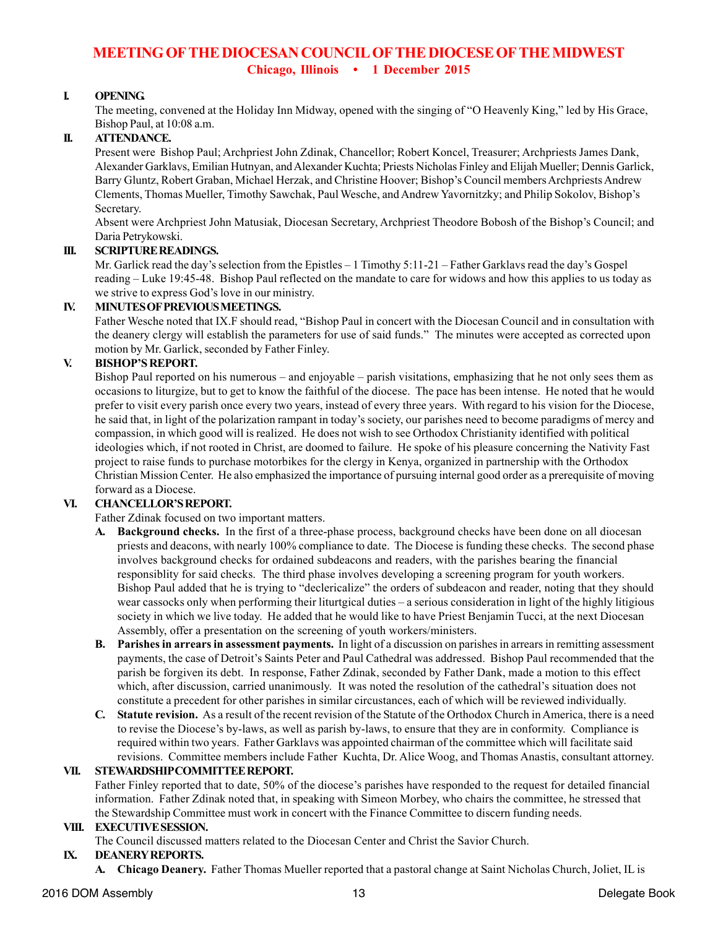# **MEETING OF THE DIOCESAN COUNCIL OF THE DIOCESE OF THE MIDWEST Chicago, Illinois • 1 December 2015**

# **I. OPENING.**

The meeting, convened at the Holiday Inn Midway, opened with the singing of "O Heavenly King," led by His Grace, Bishop Paul, at 10:08 a.m.

### **II. ATTENDANCE.**

Present were Bishop Paul; Archpriest John Zdinak, Chancellor; Robert Koncel, Treasurer; Archpriests James Dank, Alexander Garklavs, Emilian Hutnyan, and Alexander Kuchta; Priests Nicholas Finley and Elijah Mueller; Dennis Garlick, Barry Gluntz, Robert Graban, Michael Herzak, and Christine Hoover; Bishop's Council members Archpriests Andrew Clements, Thomas Mueller, Timothy Sawchak, Paul Wesche, and Andrew Yavornitzky; and Philip Sokolov, Bishop's Secretary.

Absent were Archpriest John Matusiak, Diocesan Secretary, Archpriest Theodore Bobosh of the Bishop's Council; and Daria Petrykowski.

### **III. SCRIPTURE READINGS.**

Mr. Garlick read the day's selection from the Epistles – 1 Timothy 5:11-21 – Father Garklavs read the day's Gospel reading – Luke 19:45-48. Bishop Paul reflected on the mandate to care for widows and how this applies to us today as we strive to express God's love in our ministry.

#### **IV. MINUTES OF PREVIOUS MEETINGS.**

Father Wesche noted that IX.F should read, "Bishop Paul in concert with the Diocesan Council and in consultation with the deanery clergy will establish the parameters for use of said funds." The minutes were accepted as corrected upon motion by Mr. Garlick, seconded by Father Finley.

### **V. BISHOP'S REPORT.**

Bishop Paul reported on his numerous – and enjoyable – parish visitations, emphasizing that he not only sees them as occasions to liturgize, but to get to know the faithful of the diocese. The pace has been intense. He noted that he would prefer to visit every parish once every two years, instead of every three years. With regard to his vision for the Diocese, he said that, in light of the polarization rampant in today's society, our parishes need to become paradigms of mercy and compassion, in which good will is realized. He does not wish to see Orthodox Christianity identified with political ideologies which, if not rooted in Christ, are doomed to failure. He spoke of his pleasure concerning the Nativity Fast project to raise funds to purchase motorbikes for the clergy in Kenya, organized in partnership with the Orthodox Christian Mission Center. He also emphasized the importance of pursuing internal good order as a prerequisite of moving forward as a Diocese.

### **VI. CHANCELLOR'S REPORT.**

- Father Zdinak focused on two important matters.
- **Background checks.** In the first of a three-phase process, background checks have been done on all diocesan priests and deacons, with nearly 100% compliance to date. The Diocese is funding these checks. The second phase involves background checks for ordained subdeacons and readers, with the parishes bearing the financial responsiblity for said checks. The third phase involves developing a screening program for youth workers. Bishop Paul added that he is trying to "declericalize" the orders of subdeacon and reader, noting that they should wear cassocks only when performing their liturtgical duties – a serious consideration in light of the highly litigious society in which we live today. He added that he would like to have Priest Benjamin Tucci, at the next Diocesan Assembly, offer a presentation on the screening of youth workers/ministers.
- **B. Parishes in arrears in assessment payments.** In light of a discussion on parishes in arrears in remitting assessment payments, the case of Detroit's Saints Peter and Paul Cathedral was addressed. Bishop Paul recommended that the parish be forgiven its debt. In response, Father Zdinak, seconded by Father Dank, made a motion to this effect which, after discussion, carried unanimously. It was noted the resolution of the cathedral's situation does not constitute a precedent for other parishes in similar circustances, each of which will be reviewed individually.
- **C. Statute revision.** As a result of the recent revision of the Statute of the Orthodox Church in America, there is a need to revise the Diocese's by-laws, as well as parish by-laws, to ensure that they are in conformity. Compliance is required within two years. Father Garklavs was appointed chairman of the committee which will facilitate said revisions. Committee members include Father Kuchta, Dr. Alice Woog, and Thomas Anastis, consultant attorney.

#### **VII. STEWARDSHIP COMMITTEE REPORT.**

Father Finley reported that to date, 50% of the diocese's parishes have responded to the request for detailed financial information. Father Zdinak noted that, in speaking with Simeon Morbey, who chairs the committee, he stressed that the Stewardship Committee must work in concert with the Finance Committee to discern funding needs.

# **VIII. EXECUTIVE SESSION.**

The Council discussed matters related to the Diocesan Center and Christ the Savior Church.

# **IX. DEANERY REPORTS.**

**A. Chicago Deanery.** Father Thomas Mueller reported that a pastoral change at Saint Nicholas Church, Joliet, IL is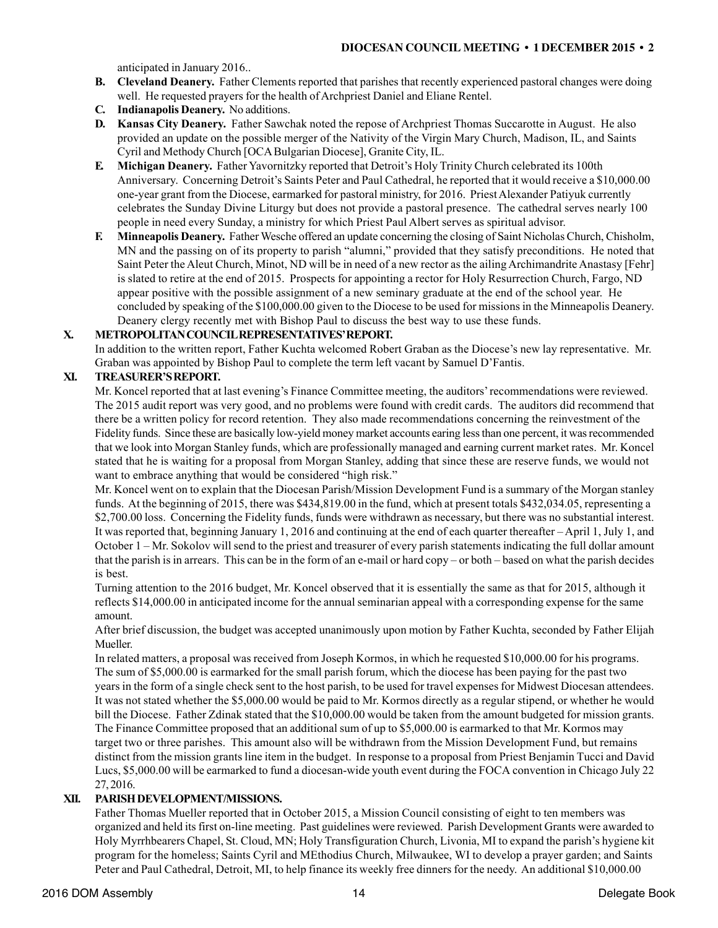anticipated in January 2016..

- **B. Cleveland Deanery.** Father Clements reported that parishes that recently experienced pastoral changes were doing well. He requested prayers for the health of Archpriest Daniel and Eliane Rentel.
- **C. Indianapolis Deanery.** No additions.
- **D. Kansas City Deanery.** Father Sawchak noted the repose of Archpriest Thomas Succarotte in August. He also provided an update on the possible merger of the Nativity of the Virgin Mary Church, Madison, IL, and Saints Cyril and Methody Church [OCA Bulgarian Diocese], Granite City, IL.
- **E. Michigan Deanery.** Father Yavornitzky reported that Detroit's Holy Trinity Church celebrated its 100th Anniversary. Concerning Detroit's Saints Peter and Paul Cathedral, he reported that it would receive a \$10,000.00 one-year grant from the Diocese, earmarked for pastoral ministry, for 2016. Priest Alexander Patiyuk currently celebrates the Sunday Divine Liturgy but does not provide a pastoral presence. The cathedral serves nearly 100 people in need every Sunday, a ministry for which Priest Paul Albert serves as spiritual advisor.
- **F. Minneapolis Deanery.** Father Wesche offered an update concerning the closing of Saint Nicholas Church, Chisholm, MN and the passing on of its property to parish "alumni," provided that they satisfy preconditions. He noted that Saint Peter the Aleut Church, Minot, ND will be in need of a new rector as the ailing Archimandrite Anastasy [Fehr] is slated to retire at the end of 2015. Prospects for appointing a rector for Holy Resurrection Church, Fargo, ND appear positive with the possible assignment of a new seminary graduate at the end of the school year. He concluded by speaking of the \$100,000.00 given to the Diocese to be used for missions in the Minneapolis Deanery. Deanery clergy recently met with Bishop Paul to discuss the best way to use these funds.

### **X. METROPOLITAN COUNCIL REPRESENTATIVES' REPORT.**

In addition to the written report, Father Kuchta welcomed Robert Graban as the Diocese's new lay representative. Mr. Graban was appointed by Bishop Paul to complete the term left vacant by Samuel D'Fantis.

### **XI. TREASURER'S REPORT.**

Mr. Koncel reported that at last evening's Finance Committee meeting, the auditors' recommendations were reviewed. The 2015 audit report was very good, and no problems were found with credit cards. The auditors did recommend that there be a written policy for record retention. They also made recommendations concerning the reinvestment of the Fidelity funds. Since these are basically low-yield money market accounts earing less than one percent, it was recommended that we look into Morgan Stanley funds, which are professionally managed and earning current market rates. Mr. Koncel stated that he is waiting for a proposal from Morgan Stanley, adding that since these are reserve funds, we would not want to embrace anything that would be considered "high risk."

Mr. Koncel went on to explain that the Diocesan Parish/Mission Development Fund is a summary of the Morgan stanley funds. At the beginning of 2015, there was \$434,819.00 in the fund, which at present totals \$432,034.05, representing a \$2,700.00 loss. Concerning the Fidelity funds, funds were withdrawn as necessary, but there was no substantial interest. It was reported that, beginning January 1, 2016 and continuing at the end of each quarter thereafter – April 1, July 1, and October 1 – Mr. Sokolov will send to the priest and treasurer of every parish statements indicating the full dollar amount that the parish is in arrears. This can be in the form of an e-mail or hard copy – or both – based on what the parish decides is best.

Turning attention to the 2016 budget, Mr. Koncel observed that it is essentially the same as that for 2015, although it reflects \$14,000.00 in anticipated income for the annual seminarian appeal with a corresponding expense for the same amount.

After brief discussion, the budget was accepted unanimously upon motion by Father Kuchta, seconded by Father Elijah Mueller.

In related matters, a proposal was received from Joseph Kormos, in which he requested \$10,000.00 for his programs. The sum of \$5,000.00 is earmarked for the small parish forum, which the diocese has been paying for the past two years in the form of a single check sent to the host parish, to be used for travel expenses for Midwest Diocesan attendees. It was not stated whether the \$5,000.00 would be paid to Mr. Kormos directly as a regular stipend, or whether he would bill the Diocese. Father Zdinak stated that the \$10,000.00 would be taken from the amount budgeted for mission grants. The Finance Committee proposed that an additional sum of up to \$5,000.00 is earmarked to that Mr. Kormos may target two or three parishes. This amount also will be withdrawn from the Mission Development Fund, but remains distinct from the mission grants line item in the budget. In response to a proposal from Priest Benjamin Tucci and David Lucs, \$5,000.00 will be earmarked to fund a diocesan-wide youth event during the FOCA convention in Chicago July 22 27, 2016.

#### **XII. PARISH DEVELOPMENT/MISSIONS.**

Father Thomas Mueller reported that in October 2015, a Mission Council consisting of eight to ten members was organized and held its first on-line meeting. Past guidelines were reviewed. Parish Development Grants were awarded to Holy Myrrhbearers Chapel, St. Cloud, MN; Holy Transfiguration Church, Livonia, MI to expand the parish's hygiene kit program for the homeless; Saints Cyril and MEthodius Church, Milwaukee, WI to develop a prayer garden; and Saints Peter and Paul Cathedral, Detroit, MI, to help finance its weekly free dinners for the needy. An additional \$10,000.00